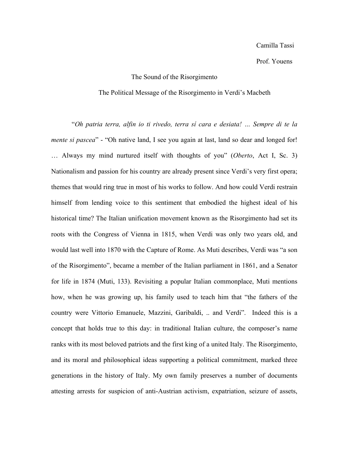## Prof. Youens

## The Sound of the Risorgimento

## The Political Message of the Risorgimento in Verdi's Macbeth

"*Oh patria terra, alfin io ti rivedo, terra sí cara e desiata! … Sempre di te la mente si pascea*" - "Oh native land, I see you again at last, land so dear and longed for! … Always my mind nurtured itself with thoughts of you" (*Oberto*, Act I, Sc. 3) Nationalism and passion for his country are already present since Verdi's very first opera; themes that would ring true in most of his works to follow. And how could Verdi restrain himself from lending voice to this sentiment that embodied the highest ideal of his historical time? The Italian unification movement known as the Risorgimento had set its roots with the Congress of Vienna in 1815, when Verdi was only two years old, and would last well into 1870 with the Capture of Rome. As Muti describes, Verdi was "a son of the Risorgimento", became a member of the Italian parliament in 1861, and a Senator for life in 1874 (Muti, 133). Revisiting a popular Italian commonplace, Muti mentions how, when he was growing up, his family used to teach him that "the fathers of the country were Vittorio Emanuele, Mazzini, Garibaldi, .. and Verdi". Indeed this is a concept that holds true to this day: in traditional Italian culture, the composer's name ranks with its most beloved patriots and the first king of a united Italy. The Risorgimento, and its moral and philosophical ideas supporting a political commitment, marked three generations in the history of Italy. My own family preserves a number of documents attesting arrests for suspicion of anti-Austrian activism, expatriation, seizure of assets,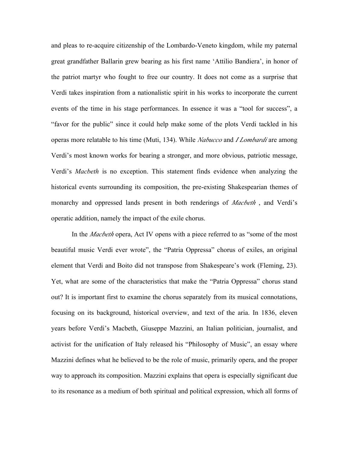and pleas to re-acquire citizenship of the Lombardo-Veneto kingdom, while my paternal great grandfather Ballarin grew bearing as his first name 'Attilio Bandiera', in honor of the patriot martyr who fought to free our country. It does not come as a surprise that Verdi takes inspiration from a nationalistic spirit in his works to incorporate the current events of the time in his stage performances. In essence it was a "tool for success", a "favor for the public" since it could help make some of the plots Verdi tackled in his operas more relatable to his time (Muti, 134). While *Nabucco* and *I Lombardi* are among Verdi's most known works for bearing a stronger, and more obvious, patriotic message, Verdi's *Macbeth* is no exception. This statement finds evidence when analyzing the historical events surrounding its composition, the pre-existing Shakespearian themes of monarchy and oppressed lands present in both renderings of *Macbeth* , and Verdi's operatic addition, namely the impact of the exile chorus.

In the *Macbeth* opera, Act IV opens with a piece referred to as "some of the most beautiful music Verdi ever wrote", the "Patria Oppressa" chorus of exiles, an original element that Verdi and Boito did not transpose from Shakespeare's work (Fleming, 23). Yet, what are some of the characteristics that make the "Patria Oppressa" chorus stand out? It is important first to examine the chorus separately from its musical connotations, focusing on its background, historical overview, and text of the aria. In 1836, eleven years before Verdi's Macbeth, Giuseppe Mazzini, an Italian politician, journalist, and activist for the unification of Italy released his "Philosophy of Music", an essay where Mazzini defines what he believed to be the role of music, primarily opera, and the proper way to approach its composition. Mazzini explains that opera is especially significant due to its resonance as a medium of both spiritual and political expression, which all forms of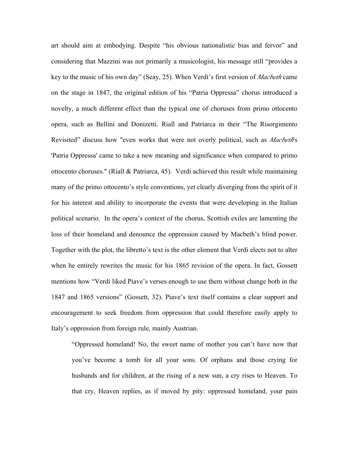art should aim at embodying. Despite "his obvious nationalistic bias and fervor" and considering that Mazzini was not primarily a musicologist, his message still "provides a key to the music of his own day" (Seay, 25). When Verdi's first version of *Macbeth* came on the stage in 1847, the original edition of his "Patria Oppressa" chorus introduced a novelty, a much different effect than the typical one of choruses from primo ottocento opera, such as Bellini and Donizetti. Riall and Patriarca in their "The Risorgimento Revisited" discuss how "even works that were not overly political, such as *Macbeth*'s 'Patria Oppressa' came to take a new meaning and significance when compared to primo ottocento choruses." (Riall & Patriarca, 45). Verdi achieved this result while maintaining many of the primo ottocento's style conventions, yet clearly diverging from the spirit of it for his interest and ability to incorporate the events that were developing in the Italian political scenario. In the opera's context of the chorus, Scottish exiles are lamenting the loss of their homeland and denounce the oppression caused by Macbeth's blind power. Together with the plot, the libretto's text is the other element that Verdi elects not to alter when he entirely rewrites the music for his 1865 revision of the opera. In fact, Gossett mentions how "Verdi liked Piave's verses enough to use them without change both in the 1847 and 1865 versions" (Gossett, 32). Piave's text itself contains a clear support and encouragement to seek freedom from oppression that could therefore easily apply to Italy's oppression from foreign rule, mainly Austrian.

"Oppressed homeland! No, the sweet name of mother you can't have now that you've become a tomb for all your sons. Of orphans and those crying for husbands and for children, at the rising of a new sun, a cry rises to Heaven. To that cry, Heaven replies, as if moved by pity: oppressed homeland, your pain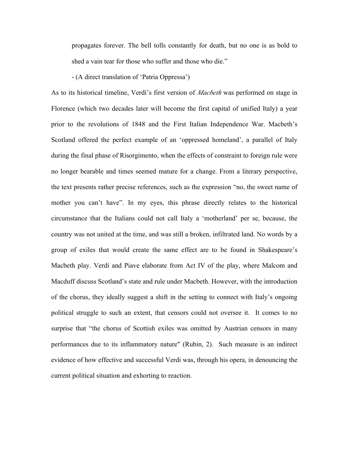propagates forever. The bell tolls constantly for death, but no one is as bold to shed a vain tear for those who suffer and those who die."

- (A direct translation of 'Patria Oppressa')

As to its historical timeline, Verdi's first version of *Macbeth* was performed on stage in Florence (which two decades later will become the first capital of unified Italy) a year prior to the revolutions of 1848 and the First Italian Independence War. Macbeth's Scotland offered the perfect example of an 'oppressed homeland', a parallel of Italy during the final phase of Risorgimento, when the effects of constraint to foreign rule were no longer bearable and times seemed mature for a change. From a literary perspective, the text presents rather precise references, such as the expression "no, the sweet name of mother you can't have". In my eyes, this phrase directly relates to the historical circumstance that the Italians could not call Italy a 'motherland' per se, because, the country was not united at the time, and was still a broken, infiltrated land. No words by a group of exiles that would create the same effect are to be found in Shakespeare's Macbeth play. Verdi and Piave elaborate from Act IV of the play, where Malcom and Macduff discuss Scotland's state and rule under Macbeth. However, with the introduction of the chorus, they ideally suggest a shift in the setting to connect with Italy's ongoing political struggle to such an extent, that censors could not oversee it. It comes to no surprise that "the chorus of Scottish exiles was omitted by Austrian censors in many performances due to its inflammatory nature" (Rubin, 2). Such measure is an indirect evidence of how effective and successful Verdi was, through his opera, in denouncing the current political situation and exhorting to reaction.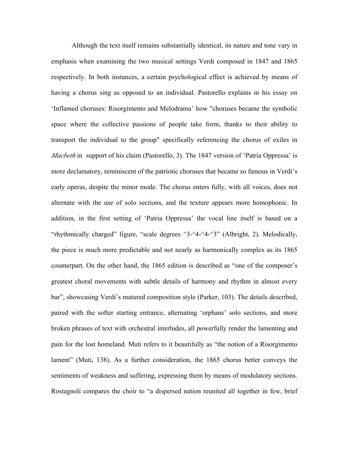Although the text itself remains substantially identical, its nature and tone vary in emphasis when examining the two musical settings Verdi composed in 1847 and 1865 respectively. In both instances, a certain psychological effect is achieved by means of having a chorus sing as opposed to an individual. Pastorello explains in his essay on 'Inflamed choruses: Risorgimento and Melodrama' how "choruses became the symbolic space where the collective passions of people take form, thanks to their ability to transport the individual to the group" specifically referencing the chorus of exiles in *Macbeth* in support of his claim (Pastorello, 3). The 1847 version of 'Patria Oppressa' is more declamatory, reminiscent of the patriotic choruses that became so famous in Verdi's early operas, despite the minor mode. The chorus enters fully, with all voices, does not alternate with the use of solo sections, and the texture appears more homophonic. In addition, in the first setting of 'Patria Oppressa' the vocal line itself is based on a "rhythmically charged" figure, "scale degrees ^3-^4-^4-^3" (Albright, 2). Melodically, the piece is much more predictable and not nearly as harmonically complex as its 1865 counterpart. On the other hand, the 1865 edition is described as "one of the composer's greatest choral movements with subtle details of harmony and rhythm in almost every bar", showcasing Verdi's matured composition style (Parker, 103). The details described, paired with the softer starting entrance, alternating 'orphans' solo sections, and more broken phrases of text with orchestral interludes, all powerfully render the lamenting and pain for the lost homeland. Muti refers to it beautifully as "the notion of a Risorgimento lament" (Muti, 138). As a further consideration, the 1865 chorus better conveys the sentiments of weakness and suffering, expressing them by means of modulatory sections. Rostagnoli compares the choir to "a dispersed nation reunited all together in few, brief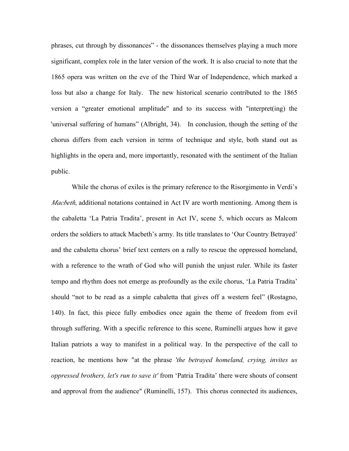phrases, cut through by dissonances" - the dissonances themselves playing a much more significant, complex role in the later version of the work. It is also crucial to note that the 1865 opera was written on the eve of the Third War of Independence, which marked a loss but also a change for Italy. The new historical scenario contributed to the 1865 version a "greater emotional amplitude" and to its success with "interpret(ing) the 'universal suffering of humans" (Albright, 34). In conclusion, though the setting of the chorus differs from each version in terms of technique and style, both stand out as highlights in the opera and, more importantly, resonated with the sentiment of the Italian public.

While the chorus of exiles is the primary reference to the Risorgimento in Verdi's *Macbeth*, additional notations contained in Act IV are worth mentioning. Among them is the cabaletta 'La Patria Tradita', present in Act IV, scene 5, which occurs as Malcom orders the soldiers to attack Macbeth's army. Its title translates to 'Our Country Betrayed' and the cabaletta chorus' brief text centers on a rally to rescue the oppressed homeland, with a reference to the wrath of God who will punish the unjust ruler. While its faster tempo and rhythm does not emerge as profoundly as the exile chorus, 'La Patria Tradita' should "not to be read as a simple cabaletta that gives off a western feel" (Rostagno, 140). In fact, this piece fully embodies once again the theme of freedom from evil through suffering. With a specific reference to this scene, Ruminelli argues how it gave Italian patriots a way to manifest in a political way. In the perspective of the call to reaction, he mentions how "at the phrase *'the betrayed homeland, crying, invites us oppressed brothers, let's run to save it'* from 'Patria Tradita' there were shouts of consent and approval from the audience" (Ruminelli, 157). This chorus connected its audiences,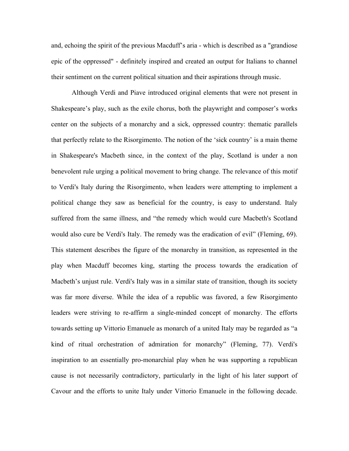and, echoing the spirit of the previous Macduff's aria - which is described as a "grandiose epic of the oppressed" - definitely inspired and created an output for Italians to channel their sentiment on the current political situation and their aspirations through music.

Although Verdi and Piave introduced original elements that were not present in Shakespeare's play, such as the exile chorus, both the playwright and composer's works center on the subjects of a monarchy and a sick, oppressed country: thematic parallels that perfectly relate to the Risorgimento. The notion of the 'sick country' is a main theme in Shakespeare's Macbeth since, in the context of the play, Scotland is under a non benevolent rule urging a political movement to bring change. The relevance of this motif to Verdi's Italy during the Risorgimento, when leaders were attempting to implement a political change they saw as beneficial for the country, is easy to understand. Italy suffered from the same illness, and "the remedy which would cure Macbeth's Scotland would also cure be Verdi's Italy. The remedy was the eradication of evil" (Fleming, 69). This statement describes the figure of the monarchy in transition, as represented in the play when Macduff becomes king, starting the process towards the eradication of Macbeth's unjust rule. Verdi's Italy was in a similar state of transition, though its society was far more diverse. While the idea of a republic was favored, a few Risorgimento leaders were striving to re-affirm a single-minded concept of monarchy. The efforts towards setting up Vittorio Emanuele as monarch of a united Italy may be regarded as "a kind of ritual orchestration of admiration for monarchy" (Fleming, 77). Verdi's inspiration to an essentially pro-monarchial play when he was supporting a republican cause is not necessarily contradictory, particularly in the light of his later support of Cavour and the efforts to unite Italy under Vittorio Emanuele in the following decade.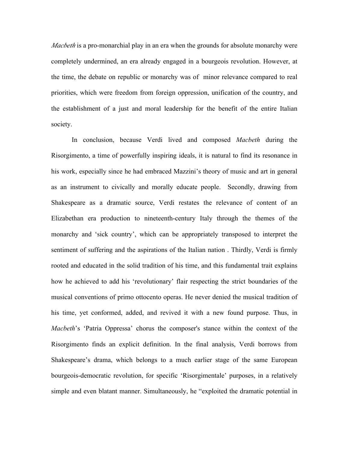*Macbeth* is a pro-monarchial play in an era when the grounds for absolute monarchy were completely undermined, an era already engaged in a bourgeois revolution. However, at the time, the debate on republic or monarchy was of minor relevance compared to real priorities, which were freedom from foreign oppression, unification of the country, and the establishment of a just and moral leadership for the benefit of the entire Italian society.

In conclusion, because Verdi lived and composed *Macbeth* during the Risorgimento, a time of powerfully inspiring ideals, it is natural to find its resonance in his work, especially since he had embraced Mazzini's theory of music and art in general as an instrument to civically and morally educate people. Secondly, drawing from Shakespeare as a dramatic source, Verdi restates the relevance of content of an Elizabethan era production to nineteenth-century Italy through the themes of the monarchy and 'sick country', which can be appropriately transposed to interpret the sentiment of suffering and the aspirations of the Italian nation . Thirdly, Verdi is firmly rooted and educated in the solid tradition of his time, and this fundamental trait explains how he achieved to add his 'revolutionary' flair respecting the strict boundaries of the musical conventions of primo ottocento operas. He never denied the musical tradition of his time, yet conformed, added, and revived it with a new found purpose. Thus, in *Macbeth*'s 'Patria Oppressa' chorus the composer's stance within the context of the Risorgimento finds an explicit definition. In the final analysis, Verdi borrows from Shakespeare's drama, which belongs to a much earlier stage of the same European bourgeois-democratic revolution, for specific 'Risorgimentale' purposes, in a relatively simple and even blatant manner. Simultaneously, he "exploited the dramatic potential in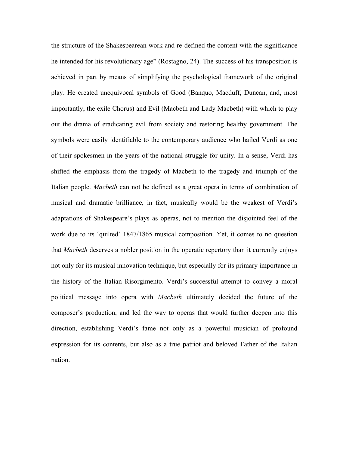the structure of the Shakespearean work and re-defined the content with the significance he intended for his revolutionary age" (Rostagno, 24). The success of his transposition is achieved in part by means of simplifying the psychological framework of the original play. He created unequivocal symbols of Good (Banquo, Macduff, Duncan, and, most importantly, the exile Chorus) and Evil (Macbeth and Lady Macbeth) with which to play out the drama of eradicating evil from society and restoring healthy government. The symbols were easily identifiable to the contemporary audience who hailed Verdi as one of their spokesmen in the years of the national struggle for unity. In a sense, Verdi has shifted the emphasis from the tragedy of Macbeth to the tragedy and triumph of the Italian people. *Macbeth* can not be defined as a great opera in terms of combination of musical and dramatic brilliance, in fact, musically would be the weakest of Verdi's adaptations of Shakespeare's plays as operas, not to mention the disjointed feel of the work due to its 'quilted' 1847/1865 musical composition. Yet, it comes to no question that *Macbeth* deserves a nobler position in the operatic repertory than it currently enjoys not only for its musical innovation technique, but especially for its primary importance in the history of the Italian Risorgimento. Verdi's successful attempt to convey a moral political message into opera with *Macbeth* ultimately decided the future of the composer's production, and led the way to operas that would further deepen into this direction, establishing Verdi's fame not only as a powerful musician of profound expression for its contents, but also as a true patriot and beloved Father of the Italian nation.